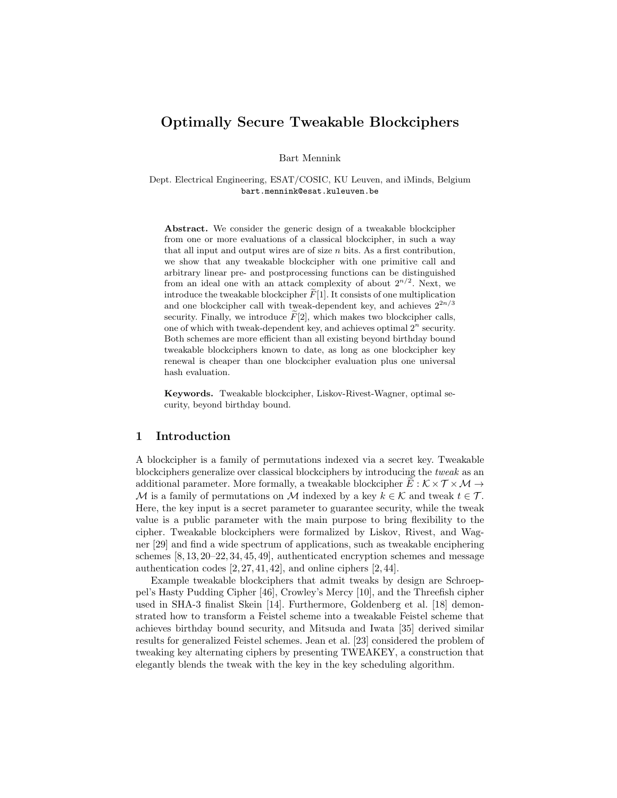# Optimally Secure Tweakable Blockciphers

Bart Mennink

Dept. Electrical Engineering, ESAT/COSIC, KU Leuven, and iMinds, Belgium bart.mennink@esat.kuleuven.be

Abstract. We consider the generic design of a tweakable blockcipher from one or more evaluations of a classical blockcipher, in such a way that all input and output wires are of size  $n$  bits. As a first contribution, we show that any tweakable blockcipher with one primitive call and arbitrary linear pre- and postprocessing functions can be distinguished from an ideal one with an attack complexity of about  $2^{n/2}$ . Next, we introduce the tweakable blockcipher  $F[1]$ . It consists of one multiplication and one blockcipher call with tweak-dependent key, and achieves  $2^{2n/3}$ security. Finally, we introduce  $F[2]$ , which makes two blockcipher calls, one of which with tweak-dependent key, and achieves optimal  $2^n$  security. Both schemes are more efficient than all existing beyond birthday bound tweakable blockciphers known to date, as long as one blockcipher key renewal is cheaper than one blockcipher evaluation plus one universal hash evaluation.

Keywords. Tweakable blockcipher, Liskov-Rivest-Wagner, optimal security, beyond birthday bound.

## 1 Introduction

A blockcipher is a family of permutations indexed via a secret key. Tweakable blockciphers generalize over classical blockciphers by introducing the tweak as an additional parameter. More formally, a tweakable blockcipher  $E : \mathcal{K} \times \mathcal{T} \times \mathcal{M} \rightarrow$ M is a family of permutations on M indexed by a key  $k \in \mathcal{K}$  and tweak  $t \in \mathcal{T}$ . Here, the key input is a secret parameter to guarantee security, while the tweak value is a public parameter with the main purpose to bring flexibility to the cipher. Tweakable blockciphers were formalized by Liskov, Rivest, and Wagner [29] and find a wide spectrum of applications, such as tweakable enciphering schemes [8, 13, 20–22, 34, 45, 49], authenticated encryption schemes and message authentication codes  $[2, 27, 41, 42]$ , and online ciphers  $[2, 44]$ .

Example tweakable blockciphers that admit tweaks by design are Schroeppel's Hasty Pudding Cipher [46], Crowley's Mercy [10], and the Threefish cipher used in SHA-3 finalist Skein [14]. Furthermore, Goldenberg et al. [18] demonstrated how to transform a Feistel scheme into a tweakable Feistel scheme that achieves birthday bound security, and Mitsuda and Iwata [35] derived similar results for generalized Feistel schemes. Jean et al. [23] considered the problem of tweaking key alternating ciphers by presenting TWEAKEY, a construction that elegantly blends the tweak with the key in the key scheduling algorithm.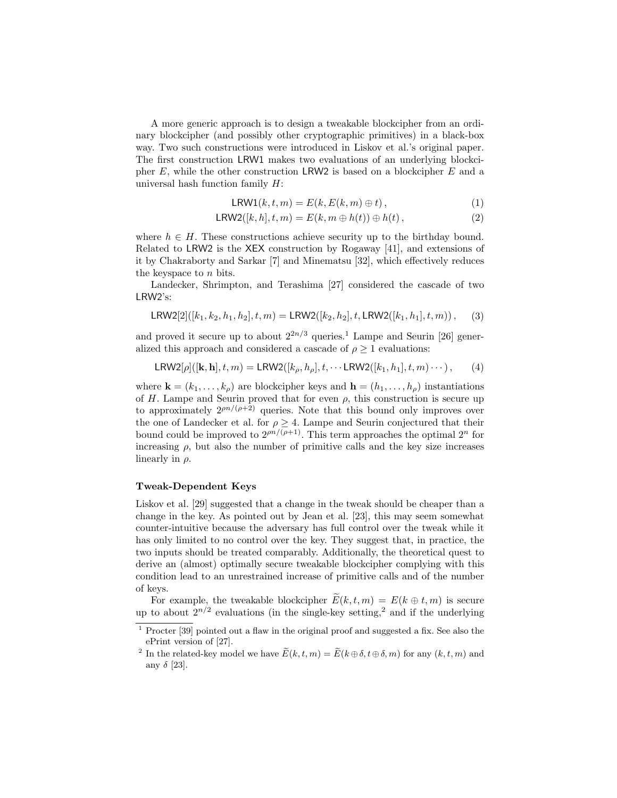A more generic approach is to design a tweakable blockcipher from an ordinary blockcipher (and possibly other cryptographic primitives) in a black-box way. Two such constructions were introduced in Liskov et al.'s original paper. The first construction LRW1 makes two evaluations of an underlying blockcipher  $E$ , while the other construction LRW2 is based on a blockcipher  $E$  and a universal hash function family  $H$ :

$$
LRW1(k, t, m) = E(k, E(k, m) \oplus t), \qquad (1)
$$

$$
LRW2([k,h],t,m) = E(k,m \oplus h(t)) \oplus h(t), \qquad (2)
$$

where  $h \in H$ . These constructions achieve security up to the birthday bound. Related to LRW2 is the XEX construction by Rogaway [41], and extensions of it by Chakraborty and Sarkar [7] and Minematsu [32], which effectively reduces the keyspace to n bits.

Landecker, Shrimpton, and Terashima [27] considered the cascade of two LRW2's:

$$
LRW2[2]([k_1, k_2, h_1, h_2], t, m) = LRW2([k_2, h_2], t, LRW2([k_1, h_1], t, m)), \quad (3)
$$

and proved it secure up to about  $2^{2n/3}$  queries.<sup>1</sup> Lampe and Seurin [26] generalized this approach and considered a cascade of  $\rho \geq 1$  evaluations:

$$
LRW2[\rho]([k, h], t, m) = LRW2([k_\rho, h_\rho], t, \cdots LRW2([k_1, h_1], t, m) \cdots), \qquad (4)
$$

where  $\mathbf{k} = (k_1, \ldots, k_\rho)$  are blockcipher keys and  $\mathbf{h} = (h_1, \ldots, h_\rho)$  instantiations of H. Lampe and Seurin proved that for even  $\rho$ , this construction is secure up to approximately  $2^{pn/(\rho+2)}$  queries. Note that this bound only improves over the one of Landecker et al. for  $\rho \geq 4$ . Lampe and Seurin conjectured that their bound could be improved to  $2^{pn/(\rho+1)}$ . This term approaches the optimal  $2^n$  for increasing  $\rho$ , but also the number of primitive calls and the key size increases linearly in  $\rho$ .

#### Tweak-Dependent Keys

Liskov et al. [29] suggested that a change in the tweak should be cheaper than a change in the key. As pointed out by Jean et al. [23], this may seem somewhat counter-intuitive because the adversary has full control over the tweak while it has only limited to no control over the key. They suggest that, in practice, the two inputs should be treated comparably. Additionally, the theoretical quest to derive an (almost) optimally secure tweakable blockcipher complying with this condition lead to an unrestrained increase of primitive calls and of the number of keys.

For example, the tweakable blockcipher  $E(k, t, m) = E(k \oplus t, m)$  is secure up to about  $2^{n/2}$  evaluations (in the single-key setting,<sup>2</sup> and if the underlying

<sup>1</sup> Procter [39] pointed out a flaw in the original proof and suggested a fix. See also the ePrint version of [27].

<sup>&</sup>lt;sup>2</sup> In the related-key model we have  $\widetilde{E}(k, t, m) = \widetilde{E}(k \oplus \delta, t \oplus \delta, m)$  for any  $(k, t, m)$  and any  $\delta$  [23].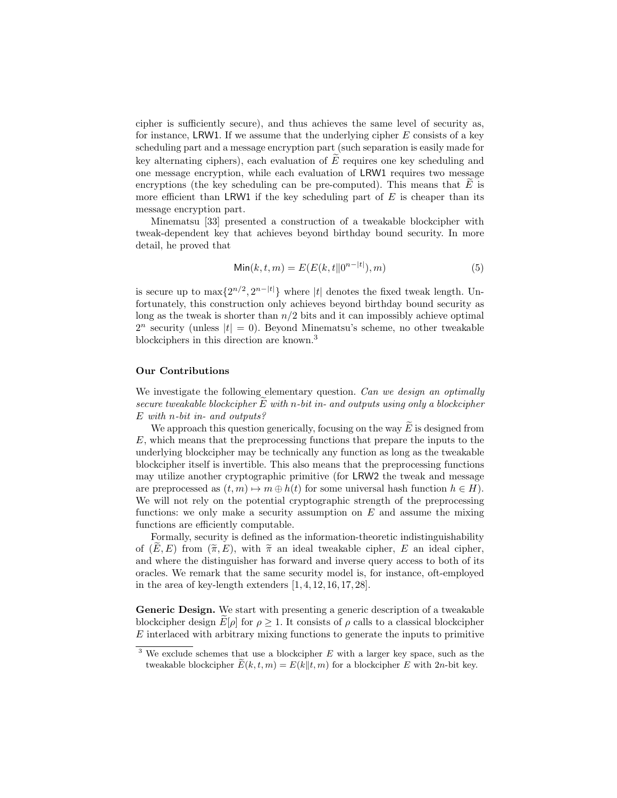cipher is sufficiently secure), and thus achieves the same level of security as, for instance, LRW1. If we assume that the underlying cipher  $E$  consists of a key scheduling part and a message encryption part (such separation is easily made for key alternating ciphers), each evaluation of  $\tilde{E}$  requires one key scheduling and one message encryption, while each evaluation of LRW1 requires two message encryptions (the key scheduling can be pre-computed). This means that  $E$  is more efficient than LRW1 if the key scheduling part of  $E$  is cheaper than its message encryption part.

Minematsu [33] presented a construction of a tweakable blockcipher with tweak-dependent key that achieves beyond birthday bound security. In more detail, he proved that

$$
\text{Min}(k, t, m) = E(E(k, t \| 0^{n-|t|}), m)
$$
\n(5)

is secure up to  $\max\{2^{n/2}, 2^{n-|t|}\}\$  where |t| denotes the fixed tweak length. Unfortunately, this construction only achieves beyond birthday bound security as long as the tweak is shorter than  $n/2$  bits and it can impossibly achieve optimal  $2^n$  security (unless  $|t| = 0$ ). Beyond Minematsu's scheme, no other tweakable blockciphers in this direction are known.<sup>3</sup>

# Our Contributions

We investigate the following elementary question. Can we design an optimally secure tweakable blockcipher  $E$  with n-bit in- and outputs using only a blockcipher E with n-bit in- and outputs?

We approach this question generically, focusing on the way  $\overline{E}$  is designed from E, which means that the preprocessing functions that prepare the inputs to the underlying blockcipher may be technically any function as long as the tweakable blockcipher itself is invertible. This also means that the preprocessing functions may utilize another cryptographic primitive (for LRW2 the tweak and message are preprocessed as  $(t, m) \mapsto m \oplus h(t)$  for some universal hash function  $h \in H$ ). We will not rely on the potential cryptographic strength of the preprocessing functions: we only make a security assumption on  $E$  and assume the mixing functions are efficiently computable.

Formally, security is defined as the information-theoretic indistinguishability of  $(E, E)$  from  $(\widetilde{\pi}, E)$ , with  $\widetilde{\pi}$  an ideal tweakable cipher, E an ideal cipher, and where the distinguisher has forward and inverse query access to both of its oracles. We remark that the same security model is, for instance, oft-employed in the area of key-length extenders  $[1, 4, 12, 16, 17, 28]$ .

Generic Design. We start with presenting a generic description of a tweakable blockcipher design  $E[\rho]$  for  $\rho \geq 1$ . It consists of  $\rho$  calls to a classical blockcipher E interlaced with arbitrary mixing functions to generate the inputs to primitive

 $3$  We exclude schemes that use a blockcipher E with a larger key space, such as the tweakable blockcipher  $\widetilde{E}(k, t, m) = E(k||t, m)$  for a blockcipher E with 2n-bit key.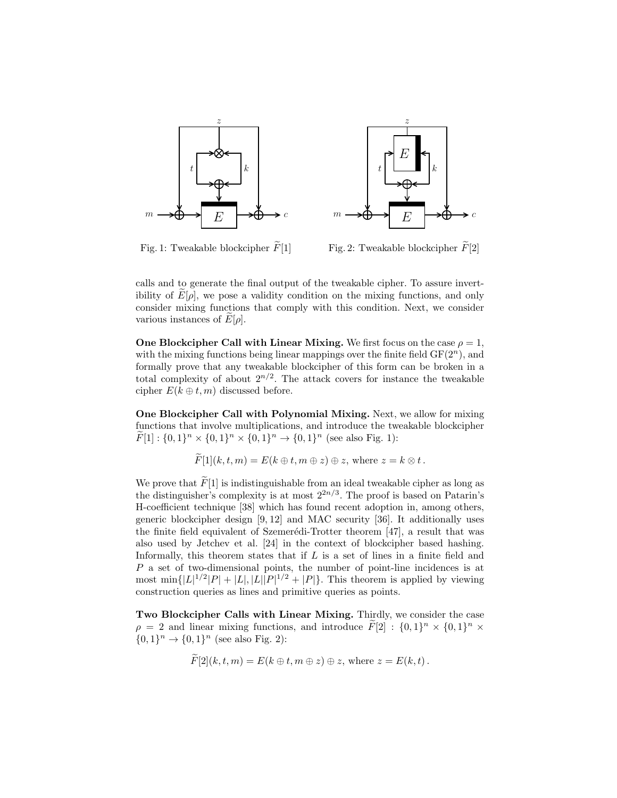

Fig. 1: Tweakable blockcipher  $\widetilde{F}[1]$ 

Fig. 2: Tweakable blockcipher  $\tilde{F}[2]$ 

calls and to generate the final output of the tweakable cipher. To assure invertibility of  $E[\rho]$ , we pose a validity condition on the mixing functions, and only consider mixing functions that comply with this condition. Next, we consider various instances of  $E[\rho]$ .

One Blockcipher Call with Linear Mixing. We first focus on the case  $\rho = 1$ , with the mixing functions being linear mappings over the finite field  $GF(2<sup>n</sup>)$ , and formally prove that any tweakable blockcipher of this form can be broken in a total complexity of about  $2^{n/2}$ . The attack covers for instance the tweakable cipher  $E(k \oplus t, m)$  discussed before.

One Blockcipher Call with Polynomial Mixing. Next, we allow for mixing functions that involve multiplications, and introduce the tweakable blockcipher  $\widetilde{F}[1]: \{0,1\}^n \times \{0,1\}^n \times \{0,1\}^n \to \{0,1\}^n$  (see also Fig. 1):

$$
F[1](k, t, m) = E(k \oplus t, m \oplus z) \oplus z, \text{ where } z = k \otimes t.
$$

We prove that  $\widetilde{F}[1]$  is indistinguishable from an ideal tweakable cipher as long as the distinguisher's complexity is at most  $2^{2n/3}$ . The proof is based on Patarin's H-coefficient technique [38] which has found recent adoption in, among others, generic blockcipher design [9, 12] and MAC security [36]. It additionally uses the finite field equivalent of Szemerédi-Trotter theorem  $[47]$ , a result that was also used by Jetchev et al. [24] in the context of blockcipher based hashing. Informally, this theorem states that if  $L$  is a set of lines in a finite field and P a set of two-dimensional points, the number of point-line incidences is at most min $\{|L|^{1/2}|P|+|L|, |L||P|^{1/2}+|P|\}$ . This theorem is applied by viewing construction queries as lines and primitive queries as points.

Two Blockcipher Calls with Linear Mixing. Thirdly, we consider the case  $\rho = 2$  and linear mixing functions, and introduce  $\tilde{F}[2] : \{0,1\}^n \times \{0,1\}^n \times$  ${0,1}^n \to {0,1}^n$  (see also Fig. 2):

$$
F[2](k, t, m) = E(k \oplus t, m \oplus z) \oplus z, \text{ where } z = E(k, t).
$$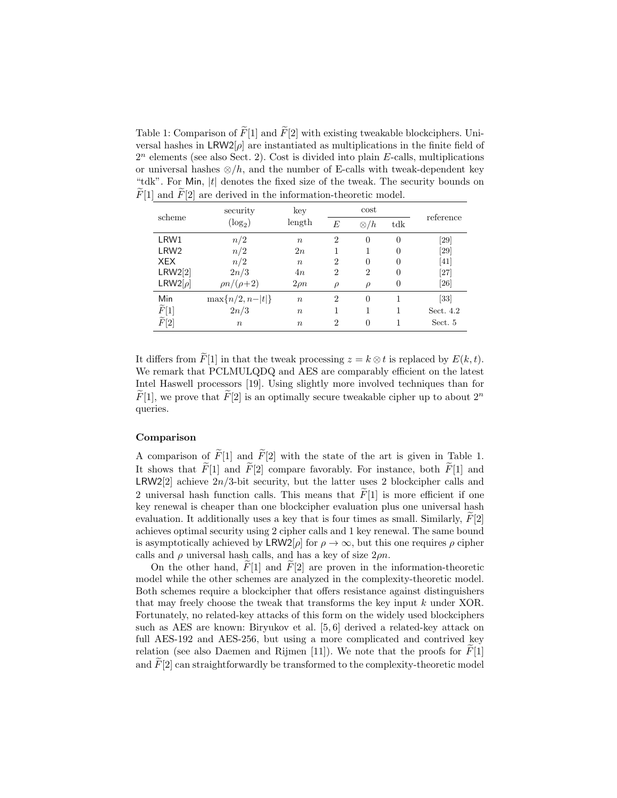Table 1: Comparison of  $\widetilde{F}[1]$  and  $\widetilde{F}[2]$  with existing tweakable blockciphers. Universal hashes in  $LRW2[\rho]$  are instantiated as multiplications in the finite field of  $2^n$  elements (see also Sect. 2). Cost is divided into plain E-calls, multiplications or universal hashes  $\otimes/h$ , and the number of E-calls with tweak-dependent key "tdk". For Min, |t| denotes the fixed size of the tweak. The security bounds on  $\widetilde{F}[1]$  and  $\widetilde{F}[2]$  are derived in the information-theoretic model.

| scheme             | security             | key              | cost           |                |          | reference |
|--------------------|----------------------|------------------|----------------|----------------|----------|-----------|
|                    | $(log_2)$            | length           | E              | $\otimes/h$    | tdk      |           |
| LRW1               | n/2                  | $\boldsymbol{n}$ | $\overline{2}$ | $\theta$       | $\theta$ | [29]      |
| LRW <sub>2</sub>   | n/2                  | 2n               | 1              |                | $\theta$ | [29]      |
| <b>XEX</b>         | n/2                  | $\boldsymbol{n}$ | $\overline{2}$ | $\Omega$       | $\Omega$ | [41]      |
| LRW2[2]            | 2n/3                 | 4n               | $\overline{2}$ | $\overline{2}$ | $\theta$ | $[27]$    |
| LRW2[ $\rho$ ]     | $\rho n/(\rho+2)$    | $2\rho n$        | $\rho$         | $\rho$         | $\theta$ | [26]      |
| Min                | $\max\{n/2, n- t \}$ | $\boldsymbol{n}$ | $\overline{2}$ | $\theta$       |          | [33]      |
| $\widetilde{F}[1]$ | 2n/3                 | $\boldsymbol{n}$ |                |                |          | Sect. 4.2 |
| $\widetilde{F}[2]$ | $\boldsymbol{n}$     | $\boldsymbol{n}$ | $\overline{2}$ | $\theta$       |          | Sect. 5   |

It differs from  $\widetilde{F}[1]$  in that the tweak processing  $z = k \otimes t$  is replaced by  $E(k, t)$ . We remark that PCLMULQDQ and AES are comparably efficient on the latest Intel Haswell processors [19]. Using slightly more involved techniques than for  $F[1]$ , we prove that  $F[2]$  is an optimally secure tweakable cipher up to about  $2^n$ queries.

# Comparison

A comparison of  $\widetilde{F}[1]$  and  $\widetilde{F}[2]$  with the state of the art is given in Table 1. It shows that  $\tilde{F}[1]$  and  $\tilde{F}[2]$  compare favorably. For instance, both  $\tilde{F}[1]$  and LRW2[2] achieve  $2n/3$ -bit security, but the latter uses 2 blockcipher calls and 2 universal hash function calls. This means that  $\tilde{F}[1]$  is more efficient if one key renewal is cheaper than one blockcipher evaluation plus one universal hash evaluation. It additionally uses a key that is four times as small. Similarly,  $F[2]$ achieves optimal security using 2 cipher calls and 1 key renewal. The same bound is asymptotically achieved by LRW2[ $\rho$ ] for  $\rho \to \infty$ , but this one requires  $\rho$  cipher calls and  $\rho$  universal hash calls, and has a key of size  $2\rho n$ .

On the other hand,  $\tilde{F}[1]$  and  $\tilde{F}[2]$  are proven in the information-theoretic model while the other schemes are analyzed in the complexity-theoretic model. Both schemes require a blockcipher that offers resistance against distinguishers that may freely choose the tweak that transforms the key input k under XOR. Fortunately, no related-key attacks of this form on the widely used blockciphers such as AES are known: Biryukov et al. [5, 6] derived a related-key attack on full AES-192 and AES-256, but using a more complicated and contrived key relation (see also Daemen and Rijmen [11]). We note that the proofs for  $F[1]$ and  $\widetilde{F}[2]$  can straightforwardly be transformed to the complexity-theoretic model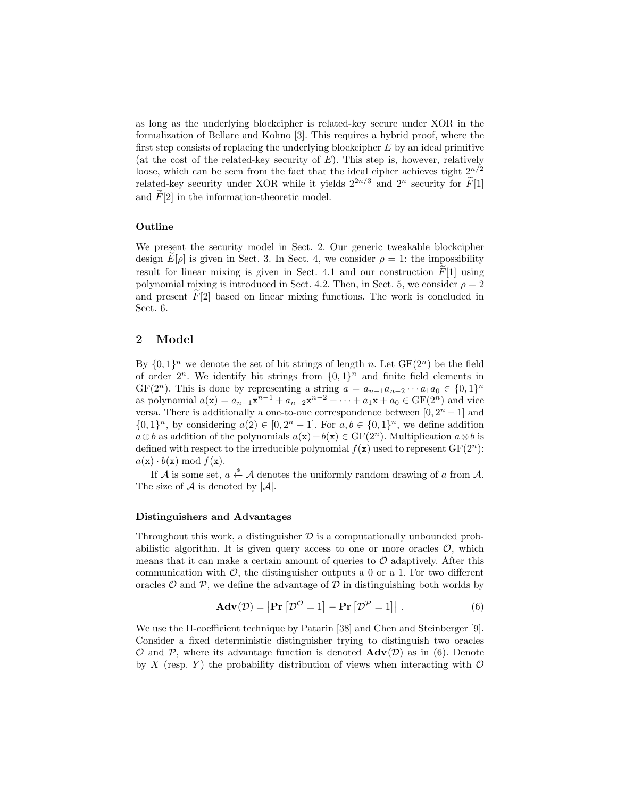as long as the underlying blockcipher is related-key secure under XOR in the formalization of Bellare and Kohno [3]. This requires a hybrid proof, where the first step consists of replacing the underlying blockcipher  $E$  by an ideal primitive (at the cost of the related-key security of  $E$ ). This step is, however, relatively loose, which can be seen from the fact that the ideal cipher achieves tight  $2^{n/2}$ related-key security under XOR while it yields  $2^{2n/3}$  and  $2^n$  security for  $\widetilde{F}[1]$ and  $F[2]$  in the information-theoretic model.

### Outline

We present the security model in Sect. 2. Our generic tweakable blockcipher design  $E[\rho]$  is given in Sect. 3. In Sect. 4, we consider  $\rho = 1$ : the impossibility result for linear mixing is given in Sect. 4.1 and our construction  $F[1]$  using polynomial mixing is introduced in Sect. 4.2. Then, in Sect. 5, we consider  $\rho = 2$ and present  $F[2]$  based on linear mixing functions. The work is concluded in Sect. 6.

# 2 Model

By  $\{0,1\}^n$  we denote the set of bit strings of length n. Let  $GF(2^n)$  be the field of order  $2^n$ . We identify bit strings from  $\{0,1\}^n$  and finite field elements in GF(2<sup>n</sup>). This is done by representing a string  $a = a_{n-1}a_{n-2}\cdots a_1a_0 \in \{0,1\}^n$ as polynomial  $a(x) = a_{n-1}x^{n-1} + a_{n-2}x^{n-2} + \cdots + a_1x + a_0 \in GF(2^n)$  and vice versa. There is additionally a one-to-one correspondence between  $[0, 2<sup>n</sup> - 1]$  and  $\{0,1\}^n$ , by considering  $a(2) \in [0, 2^n - 1]$ . For  $a, b \in \{0,1\}^n$ , we define addition  $a \oplus b$  as addition of the polynomials  $a(x) + b(x) \in GF(2^n)$ . Multiplication  $a \otimes b$  is defined with respect to the irreducible polynomial  $f(\mathbf{x})$  used to represent  $\mathrm{GF}(2^n)$ :  $a(\mathbf{x}) \cdot b(\mathbf{x}) \bmod f(\mathbf{x}).$ 

If A is some set,  $a \stackrel{\$}{\leftarrow} A$  denotes the uniformly random drawing of a from A. The size of  $A$  is denoted by  $|A|$ .

### Distinguishers and Advantages

Throughout this work, a distinguisher  $\mathcal D$  is a computationally unbounded probabilistic algorithm. It is given query access to one or more oracles  $\mathcal{O}$ , which means that it can make a certain amount of queries to  $\mathcal O$  adaptively. After this communication with  $\mathcal{O}$ , the distinguisher outputs a 0 or a 1. For two different oracles  $\mathcal O$  and  $\mathcal P$ , we define the advantage of  $\mathcal D$  in distinguishing both worlds by

$$
\mathbf{Adv}(\mathcal{D}) = |\mathbf{Pr}\left[\mathcal{D}^{\mathcal{O}} = 1\right] - \mathbf{Pr}\left[\mathcal{D}^{\mathcal{P}} = 1\right]|.
$$
 (6)

We use the H-coefficient technique by Patarin [38] and Chen and Steinberger [9]. Consider a fixed deterministic distinguisher trying to distinguish two oracles  $\mathcal O$  and  $\mathcal P$ , where its advantage function is denoted  $\mathbf{Adv}(\mathcal D)$  as in (6). Denote by X (resp. Y) the probability distribution of views when interacting with  $\mathcal O$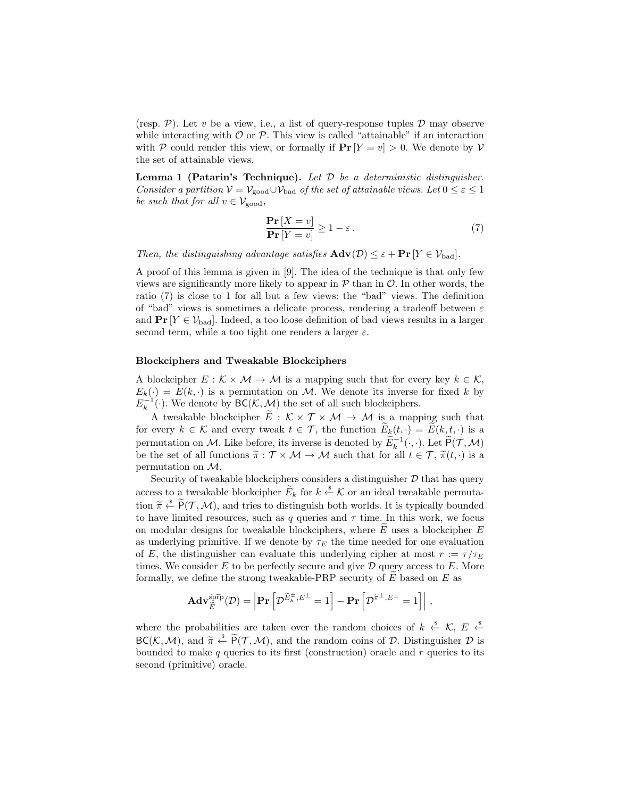(resp. P). Let v be a view, i.e., a list of query-response tuples  $\mathcal D$  may observe while interacting with  $\mathcal O$  or  $\mathcal P$ . This view is called "attainable" if an interaction with P could render this view, or formally if  $Pr[Y = v] > 0$ . We denote by V the set of attainable views.

**Lemma 1 (Patarin's Technique).** Let  $D$  be a deterministic distinguisher. Consider a partition  $V = V_{\text{good}} \cup V_{\text{bad}}$  of the set of attainable views. Let  $0 \leq \varepsilon \leq 1$ be such that for all  $v \in V_{\text{good}}$ ,

$$
\frac{\Pr\left[X=v\right]}{\Pr\left[Y=v\right]} \ge 1 - \varepsilon. \tag{7}
$$

Then, the distinguishing advantage satisfies  $\mathbf{Adv}(\mathcal{D}) \leq \varepsilon + \mathbf{Pr}[Y \in \mathcal{V}_{bad}].$ 

A proof of this lemma is given in [9]. The idea of the technique is that only few views are significantly more likely to appear in  $P$  than in  $O$ . In other words, the ratio (7) is close to 1 for all but a few views: the "bad" views. The definition of "bad" views is sometimes a delicate process, rendering a tradeoff between  $\varepsilon$ and  $\Pr[Y \in \mathcal{V}_{bad}]$ . Indeed, a too loose definition of bad views results in a larger second term, while a too tight one renders a larger  $\varepsilon$ .

#### Blockciphers and Tweakable Blockciphers

A blockcipher  $E : \mathcal{K} \times \mathcal{M} \to \mathcal{M}$  is a mapping such that for every key  $k \in \mathcal{K}$ ,  $E_k(\cdot) = E(k, \cdot)$  is a permutation on M. We denote its inverse for fixed k by  $E_k^{-1}(\cdot)$ . We denote by  $BC(K, \mathcal{M})$  the set of all such blockciphers.

A tweakable blockcipher  $\tilde{E}: \mathcal{K} \times \mathcal{T} \times \mathcal{M} \rightarrow \mathcal{M}$  is a mapping such that for every  $k \in \mathcal{K}$  and every tweak  $t \in \mathcal{T}$ , the function  $E_k(t, \cdot) = E(k, t, \cdot)$  is a permutation on M. Like before, its inverse is denoted by  $\widetilde{E}_k^{-1}(\cdot,\cdot)$ . Let  $\widetilde{P}(\mathcal{T},\mathcal{M})$ be the set of all functions  $\widetilde{\pi}: \mathcal{T} \times \mathcal{M} \to \mathcal{M}$  such that for all  $t \in \mathcal{T}$ ,  $\widetilde{\pi}(t, \cdot)$  is a permutation on M.

Security of tweakable blockciphers considers a distinguisher  $D$  that has query access to a tweakable blockcipher  $E_k$  for  $k \stackrel{\$}{\leftarrow} \mathcal{K}$  or an ideal tweakable permutation  $\tilde{\pi} \stackrel{\text{d}}{\leftarrow} \tilde{P}(\mathcal{T}, \mathcal{M})$ , and tries to distinguish both worlds. It is typically bounded<br>to have limited resources, such as a queries and  $\tau$  time. In this work, we focus to have limited resources, such as q queries and  $\tau$  time. In this work, we focus on modular designs for tweakable blockciphers, where  $E$  uses a blockcipher  $E$ as underlying primitive. If we denote by  $\tau_E$  the time needed for one evaluation of E, the distinguisher can evaluate this underlying cipher at most  $r := \tau/\tau_E$ times. We consider  $E$  to be perfectly secure and give  $D$  query access to  $E$ . More formally, we define the strong tweakable-PRP security of  $E$  based on  $E$  as

$$
\mathbf{Adv}_{\widetilde{E}}^{\widetilde{\text{sprp}}}(\mathcal{D}) = \left| \mathbf{Pr}\left[ \mathcal{D}^{\widetilde{E}_{k}^{\pm},E^{\pm}} = 1 \right] - \mathbf{Pr}\left[ \mathcal{D}^{\widetilde{\pi}^{\pm},E^{\pm}} = 1 \right] \right|,
$$

where the probabilities are taken over the random choices of  $k \stackrel{*}{\leftarrow} \mathcal{K}, E \stackrel{*}{\leftarrow}$  $BC(K, \mathcal{M})$ , and  $\widetilde{\pi} \overset{\ast}{\leftarrow} \widetilde{P}(\mathcal{T}, \mathcal{M})$ , and the random coins of  $\mathcal{D}$ . Distinguisher  $\mathcal{D}$  is<br>bounded to make a sucries to its first (construction) excels and r sucries to its bounded to make  $q$  queries to its first (construction) oracle and  $r$  queries to its second (primitive) oracle.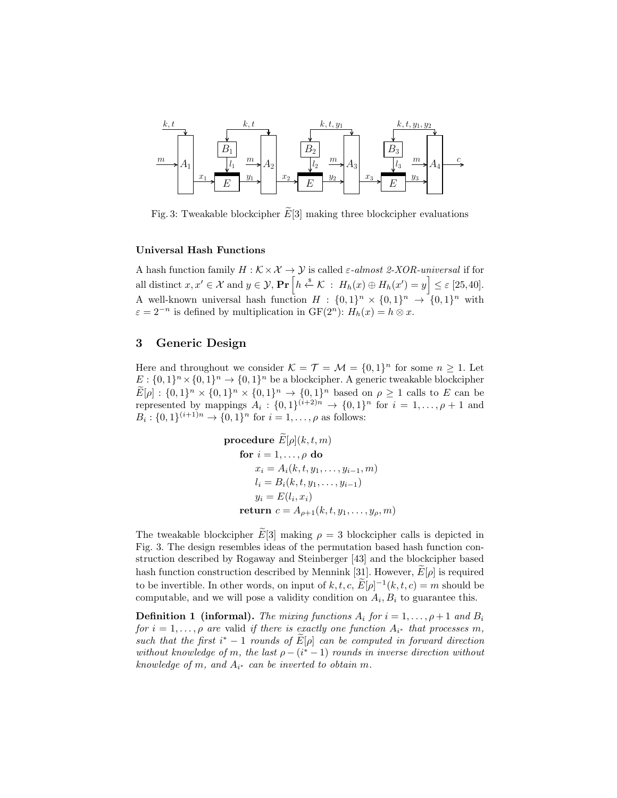

Fig. 3: Tweakable blockcipher  $\widetilde{E}[3]$  making three blockcipher evaluations

#### Universal Hash Functions

A hash function family  $H : \mathcal{K} \times \mathcal{X} \to \mathcal{Y}$  is called  $\varepsilon$ -almost 2-XOR-universal if for all distinct  $x, x' \in \mathcal{X}$  and  $y \in \mathcal{Y}$ ,  $\Pr\left[h \stackrel{\$}{\leftarrow} \mathcal{K} \ : \ H_h(x) \oplus H_h(x') = y\right] \leq \varepsilon$  [25,40]. A well-known universal hash function  $H: \{0,1\}^n \times \{0,1\}^n \rightarrow \{0,1\}^n$  with  $\varepsilon = 2^{-n}$  is defined by multiplication in  $GF(2^n)$ :  $H_h(x) = h \otimes x$ .

# 3 Generic Design

Here and throughout we consider  $\mathcal{K} = \mathcal{T} = \mathcal{M} = \{0, 1\}^n$  for some  $n \geq 1$ . Let  $E: \{0,1\}^n \times \{0,1\}^n \rightarrow \{0,1\}^n$  be a blockcipher. A generic tweakable blockcipher  $E[\rho]: \{0,1\}^n \times \{0,1\}^n \times \{0,1\}^n \to \{0,1\}^n$  based on  $\rho \ge 1$  calls to E can be represented by mappings  $A_i: \{0,1\}^{(i+2)n} \to \{0,1\}^n$  for  $i = 1,\ldots,\rho+1$  and  $B_i: \{0,1\}^{(i+1)n} \to \{0,1\}^n$  for  $i = 1, \ldots, \rho$  as follows:

**procedure** 
$$
E[\rho](k, t, m)
$$
  
\n**for**  $i = 1, ..., \rho$  **do**  
\n $x_i = A_i(k, t, y_1, ..., y_{i-1}, m)$   
\n $l_i = B_i(k, t, y_1, ..., y_{i-1})$   
\n $y_i = E(l_i, x_i)$   
\n**return**  $c = A_{\rho+1}(k, t, y_1, ..., y_{\rho}, m)$ 

The tweakable blockcipher  $E[3]$  making  $\rho = 3$  blockcipher calls is depicted in Fig. 3. The design resembles ideas of the permutation based hash function construction described by Rogaway and Steinberger [43] and the blockcipher based hash function construction described by Mennink [31]. However,  $E[\rho]$  is required to be invertible. In other words, on input of  $k, t, c, \widetilde{E}[\rho]^{-1}(k, t, c) = m$  should be computable, and we will pose a validity condition on  $A_i, B_i$  to guarantee this.

**Definition 1 (informal).** The mixing functions  $A_i$  for  $i = 1, \ldots, \rho + 1$  and  $B_i$ for  $i = 1, \ldots, \rho$  are valid if there is exactly one function  $A_{i^*}$  that processes m, such that the first  $i^* - 1$  rounds of  $\widetilde{E}[\rho]$  can be computed in forward direction without knowledge of m, the last  $\rho - (i^* - 1)$  rounds in inverse direction without knowledge of m, and  $A_{i^*}$  can be inverted to obtain m.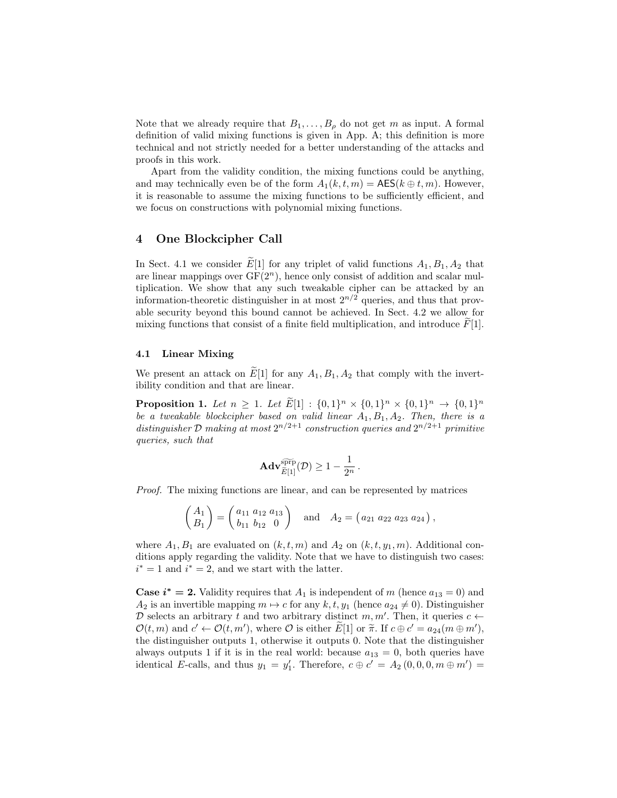Note that we already require that  $B_1, \ldots, B_\rho$  do not get m as input. A formal definition of valid mixing functions is given in App. A; this definition is more technical and not strictly needed for a better understanding of the attacks and proofs in this work.

Apart from the validity condition, the mixing functions could be anything, and may technically even be of the form  $A_1(k, t, m) = \mathsf{AES}(k \oplus t, m)$ . However, it is reasonable to assume the mixing functions to be sufficiently efficient, and we focus on constructions with polynomial mixing functions.

# 4 One Blockcipher Call

In Sect. 4.1 we consider  $E[1]$  for any triplet of valid functions  $A_1, B_1, A_2$  that are linear mappings over  $GF(2<sup>n</sup>)$ , hence only consist of addition and scalar multiplication. We show that any such tweakable cipher can be attacked by an information-theoretic distinguisher in at most  $2^{n/2}$  queries, and thus that provable security beyond this bound cannot be achieved. In Sect. 4.2 we allow for mixing functions that consist of a finite field multiplication, and introduce  $F[1]$ .

### 4.1 Linear Mixing

We present an attack on  $\widetilde{E}[1]$  for any  $A_1, B_1, A_2$  that comply with the invertibility condition and that are linear.

**Proposition 1.** Let  $n \geq 1$ . Let  $\widetilde{E}[1] : \{0,1\}^n \times \{0,1\}^n \times \{0,1\}^n \to \{0,1\}^n$ be a tweakable blockcipher based on valid linear  $A_1, B_1, A_2$ . Then, there is a distinguisher D making at most  $2^{n/2+1}$  construction queries and  $2^{n/2+1}$  primitive queries, such that

$$
\mathbf{Adv}_{\widetilde{E}[1]}^{\widetilde{\mathrm{app}}}(\mathcal{D}) \geq 1 - \frac{1}{2^n} \, .
$$

Proof. The mixing functions are linear, and can be represented by matrices

$$
\begin{pmatrix} A_1 \ B_1 \end{pmatrix} = \begin{pmatrix} a_{11} & a_{12} & a_{13} \\ b_{11} & b_{12} & 0 \end{pmatrix} \text{ and } A_2 = \begin{pmatrix} a_{21} & a_{22} & a_{23} & a_{24} \end{pmatrix},
$$

where  $A_1, B_1$  are evaluated on  $(k, t, m)$  and  $A_2$  on  $(k, t, y_1, m)$ . Additional conditions apply regarding the validity. Note that we have to distinguish two cases:  $i^* = 1$  and  $i^* = 2$ , and we start with the latter.

**Case i<sup>\*</sup>** = 2. Validity requires that  $A_1$  is independent of m (hence  $a_{13} = 0$ ) and  $A_2$  is an invertible mapping  $m \mapsto c$  for any  $k, t, y_1$  (hence  $a_{24} \neq 0$ ). Distinguisher D selects an arbitrary t and two arbitrary distinct  $m, m'$ . Then, it queries  $c \leftarrow$  $\mathcal{O}(t, m)$  and  $c' \leftarrow \mathcal{O}(t, m')$ , where  $\mathcal{O}$  is either  $\tilde{E}[1]$  or  $\tilde{\pi}$ . If  $c \oplus c' = a_{24}(m \oplus m')$ ,<br>the distinguisher outputs 1 otherwise it outputs 0. Note that the distinguisher the distinguisher outputs 1, otherwise it outputs 0. Note that the distinguisher always outputs 1 if it is in the real world: because  $a_{13} = 0$ , both queries have identical E-calls, and thus  $y_1 = y'_1$ . Therefore,  $c \oplus c' = A_2(0,0,0,m \oplus m') =$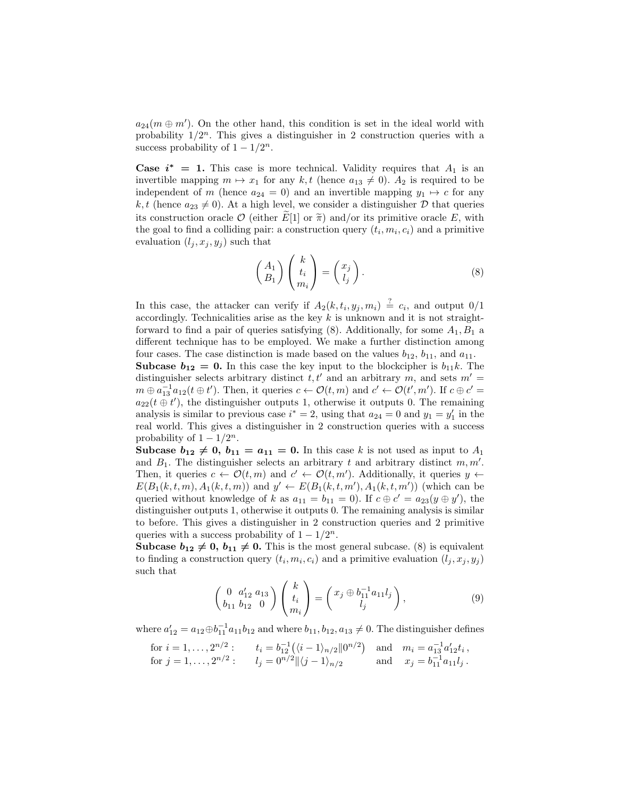$a_{24}(m \oplus m')$ . On the other hand, this condition is set in the ideal world with probability  $1/2^n$ . This gives a distinguisher in 2 construction queries with a success probability of  $1 - 1/2^n$ .

**Case**  $i^* = 1$ **.** This case is more technical. Validity requires that  $A_1$  is an invertible mapping  $m \mapsto x_1$  for any  $k, t$  (hence  $a_{13} \neq 0$ ).  $A_2$  is required to be independent of m (hence  $a_{24} = 0$ ) and an invertible mapping  $y_1 \mapsto c$  for any k, t (hence  $a_{23} \neq 0$ ). At a high level, we consider a distinguisher D that queries its construction oracle  $\mathcal O$  (either  $\widetilde{E}[1]$  or  $\widetilde{\pi}$ ) and/or its primitive oracle E, with the goal to find a colliding pair: a construction query  $(t_i, m_i, c_i)$  and a primitive evaluation  $(l_i, x_j, y_j)$  such that

$$
\begin{pmatrix} A_1 \\ B_1 \end{pmatrix} \begin{pmatrix} k \\ t_i \\ m_i \end{pmatrix} = \begin{pmatrix} x_j \\ l_j \end{pmatrix} . \tag{8}
$$

In this case, the attacker can verify if  $A_2(k, t_i, y_j, m_i) \stackrel{?}{=} c_i$ , and output  $0/1$ accordingly. Technicalities arise as the key  $k$  is unknown and it is not straightforward to find a pair of queries satisfying  $(8)$ . Additionally, for some  $A_1, B_1$  a different technique has to be employed. We make a further distinction among four cases. The case distinction is made based on the values  $b_{12}$ ,  $b_{11}$ , and  $a_{11}$ . **Subcase**  $b_{12} = 0$ **.** In this case the key input to the blockcipher is  $b_{11}k$ . The

distinguisher selects arbitrary distinct  $t, t'$  and an arbitrary m, and sets  $m' =$  $m \oplus a_{13}^{-1} a_{12}(t \oplus t')$ . Then, it queries  $c \leftarrow \mathcal{O}(t, m)$  and  $c' \leftarrow \mathcal{O}(t', m')$ . If  $c \oplus c' =$  $a_{22}(t \oplus t')$ , the distinguisher outputs 1, otherwise it outputs 0. The remaining analysis is similar to previous case  $i^* = 2$ , using that  $a_{24} = 0$  and  $y_1 = y'_1$  in the real world. This gives a distinguisher in 2 construction queries with a success probability of  $1 - 1/2^n$ .

Subcase  $b_{12} \neq 0$ ,  $b_{11} = a_{11} = 0$ . In this case k is not used as input to  $A_1$ and  $B_1$ . The distinguisher selects an arbitrary t and arbitrary distinct  $m, m'$ . Then, it queries  $c \leftarrow \mathcal{O}(t,m)$  and  $c' \leftarrow \mathcal{O}(t,m')$ . Additionally, it queries  $y \leftarrow$  $E(B_1(k, t, m), A_1(k, t, m))$  and  $y' \leftarrow E(B_1(k, t, m'), A_1(k, t, m'))$  (which can be queried without knowledge of k as  $a_{11} = b_{11} = 0$ . If  $c \oplus c' = a_{23}(y \oplus y')$ , the distinguisher outputs 1, otherwise it outputs 0. The remaining analysis is similar to before. This gives a distinguisher in 2 construction queries and 2 primitive queries with a success probability of  $1 - 1/2^n$ .

Subcase  $b_{12} \neq 0$ ,  $b_{11} \neq 0$ . This is the most general subcase. (8) is equivalent to finding a construction query  $(t_i, m_i, c_i)$  and a primitive evaluation  $(l_j, x_j, y_j)$ such that

$$
\begin{pmatrix} 0 & a'_{12} & a_{13} \\ b_{11} & b_{12} & 0 \end{pmatrix} \begin{pmatrix} k \\ t_i \\ m_i \end{pmatrix} = \begin{pmatrix} x_j \oplus b_{11}^{-1} a_{11} l_j \\ l_j \end{pmatrix},
$$
(9)

where  $a'_{12} = a_{12} \oplus b_{11}^{-1} a_{11} b_{12}$  and where  $b_{11}, b_{12}, a_{13} \neq 0$ . The distinguisher defines

for 
$$
i = 1, ..., 2^{n/2}
$$
:  $t_i = b_{12}^{-1}((i - 1)_{n/2}||0^{n/2})$  and  $m_i = a_{13}^{-1}a'_{12}t_i$ ,  
for  $j = 1, ..., 2^{n/2}$ :  $l_j = 0^{n/2}||\langle j - 1 \rangle_{n/2}$  and  $x_j = b_{11}^{-1}a_{11}l_j$ .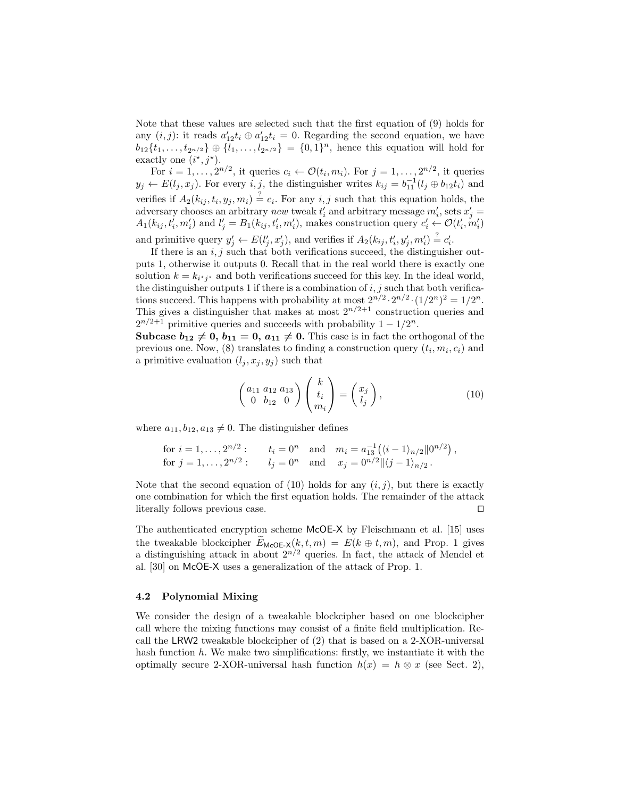Note that these values are selected such that the first equation of (9) holds for any  $(i, j)$ : it reads  $a'_{12}t_i \oplus a'_{12}t_i = 0$ . Regarding the second equation, we have  $b_{12}\{t_1,\ldots,t_{2n/2}\}\oplus\{l_1,\ldots,l_{2n/2}\} = \{0,1\}^n$ , hence this equation will hold for exactly one  $(i^*, j^*)$ .

For  $i = 1, ..., 2^{n/2}$ , it queries  $c_i \leftarrow \mathcal{O}(t_i, m_i)$ . For  $j = 1, ..., 2^{n/2}$ , it queries  $y_j \leftarrow E(l_j, x_j)$ . For every  $i, j$ , the distinguisher writes  $k_{ij} = b_{11}^{-1}(l_j \oplus b_{12}t_i)$  and verifies if  $A_2(k_{ij}, t_i, y_j, m_i) \stackrel{?}{=} c_i$ . For any  $i, j$  such that this equation holds, the adversary chooses an arbitrary new tweak  $t'_{i}$  and arbitrary message  $m'_{i}$ , sets  $x'_{j}$  =  $A_1(k_{ij}, t'_i, m'_i)$  and  $l'_j = B_1(k_{ij}, t'_i, m'_i)$ , makes construction query  $c'_i \leftarrow \mathcal{O}(t'_i, m'_i)$ and primitive query  $y'_j \leftarrow E(l'_j, x'_j)$ , and verifies if  $A_2(k_{ij}, t'_i, y'_j, m'_i) \stackrel{?}{=} c'_i$ .

If there is an  $i, j$  such that both verifications succeed, the distinguisher outputs 1, otherwise it outputs 0. Recall that in the real world there is exactly one solution  $k = k_{i \cdot j}$  and both verifications succeed for this key. In the ideal world, the distinguisher outputs 1 if there is a combination of  $i, j$  such that both verifications succeed. This happens with probability at most  $2^{n/2} \cdot 2^{n/2} \cdot (1/2^n)^2 = 1/2^n$ . This gives a distinguisher that makes at most  $2^{n/2+1}$  construction queries and  $2^{n/2+1}$  primitive queries and succeeds with probability  $1-1/2^n$ .

Subcase  $b_{12} \neq 0$ ,  $b_{11} = 0$ ,  $a_{11} \neq 0$ . This case is in fact the orthogonal of the previous one. Now, (8) translates to finding a construction query  $(t_i, m_i, c_i)$  and a primitive evaluation  $(l_j, x_j, y_j)$  such that

$$
\begin{pmatrix} a_{11} & a_{12} & a_{13} \\ 0 & b_{12} & 0 \end{pmatrix} \begin{pmatrix} k \\ t_i \\ m_i \end{pmatrix} = \begin{pmatrix} x_j \\ l_j \end{pmatrix}, \tag{10}
$$

where  $a_{11}, b_{12}, a_{13} \neq 0$ . The distinguisher defines

for 
$$
i = 1, ..., 2^{n/2}
$$
:  $t_i = 0^n$  and  $m_i = a_{13}^{-1}((i - 1)_{n/2}||0^{n/2})$ ,  
for  $j = 1, ..., 2^{n/2}$ :  $l_j = 0^n$  and  $x_j = 0^{n/2}||\langle j - 1 \rangle_{n/2}$ .

Note that the second equation of (10) holds for any  $(i, j)$ , but there is exactly one combination for which the first equation holds. The remainder of the attack literally follows previous case.  $\Box$ 

The authenticated encryption scheme McOE-X by Fleischmann et al. [15] uses the tweakable blockcipher  $E_{\text{McOE-}X}(k, t, m) = E(k \oplus t, m)$ , and Prop. 1 gives a distinguishing attack in about  $2^{n/2}$  queries. In fact, the attack of Mendel et al. [30] on McOE-X uses a generalization of the attack of Prop. 1.

### 4.2 Polynomial Mixing

We consider the design of a tweakable blockcipher based on one blockcipher call where the mixing functions may consist of a finite field multiplication. Recall the LRW2 tweakable blockcipher of (2) that is based on a 2-XOR-universal hash function  $h$ . We make two simplifications: firstly, we instantiate it with the optimally secure 2-XOR-universal hash function  $h(x) = h \otimes x$  (see Sect. 2),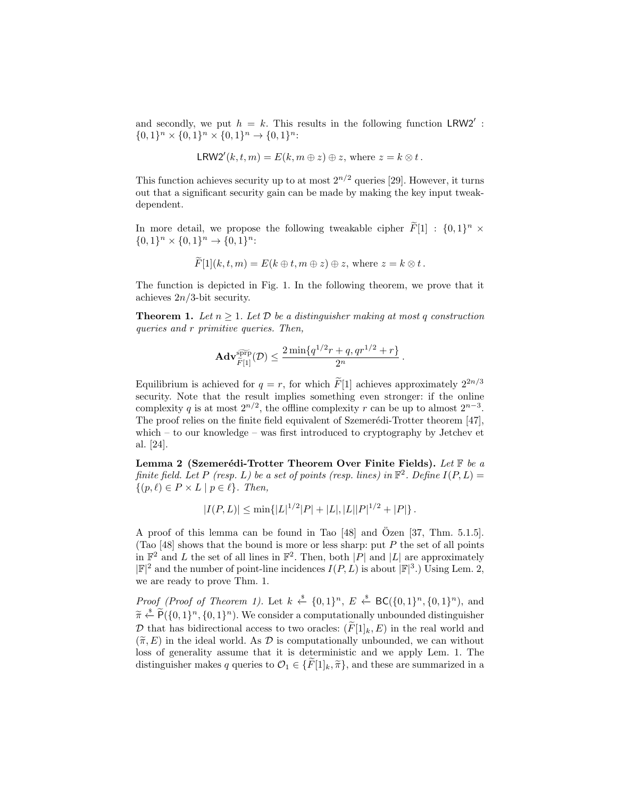and secondly, we put  $h = k$ . This results in the following function LRW2':  ${0,1}^n \times {0,1}^n \times {0,1}^n \to {0,1}^n:$ 

$$
LRW2'(k, t, m) = E(k, m \oplus z) \oplus z, \text{ where } z = k \otimes t.
$$

This function achieves security up to at most  $2^{n/2}$  queries [29]. However, it turns out that a significant security gain can be made by making the key input tweakdependent.

In more detail, we propose the following tweakable cipher  $\tilde{F}[1]$  :  $\{0,1\}^n \times$  ${0,1}^n \times {0,1}^n \rightarrow {0,1}^n:$ 

$$
F[1](k, t, m) = E(k \oplus t, m \oplus z) \oplus z, \text{ where } z = k \otimes t.
$$

The function is depicted in Fig. 1. In the following theorem, we prove that it achieves  $2n/3$ -bit security.

**Theorem 1.** Let  $n \geq 1$ . Let  $D$  be a distinguisher making at most q construction queries and r primitive queries. Then,

$$
\mathbf{Adv}_{\widetilde{F}[1]}^{\widetilde{\text{sprp}}}(\mathcal{D}) \le \frac{2\min\{q^{1/2}r + q, qr^{1/2} + r\}}{2^n}.
$$

Equilibrium is achieved for  $q = r$ , for which  $\widetilde{F}[1]$  achieves approximately  $2^{2n/3}$ security. Note that the result implies something even stronger: if the online complexity q is at most  $2^{n/2}$ , the offline complexity r can be up to almost  $2^{n-3}$ . The proof relies on the finite field equivalent of Szemerédi-Trotter theorem [47], which – to our knowledge – was first introduced to cryptography by Jetchev et al. [24].

Lemma 2 (Szemerédi-Trotter Theorem Over Finite Fields). Let  $\mathbb F$  be a finite field. Let P (resp. L) be a set of points (resp. lines) in  $\mathbb{F}^2$ . Define  $I(P, L) =$  $\{(p, \ell) \in P \times L \mid p \in \ell\}.$  Then,

$$
|I(P,L)| \le \min\{|L|^{1/2}|P| + |L|, |L||P|^{1/2} + |P|\}.
$$

A proof of this lemma can be found in Tao  $[48]$  and Özen  $[37, Thm. 5.1.5]$ . (Tao [48] shows that the bound is more or less sharp: put  $P$  the set of all points in  $\mathbb{F}^2$  and L the set of all lines in  $\mathbb{F}^2$ . Then, both |P| and |L| are approximately  $|\mathbb{F}|^2$  and the number of point-line incidences  $I(P, L)$  is about  $|\mathbb{F}|^3$ .) Using Lem. 2, we are ready to prove Thm. 1.

*Proof (Proof of Theorem 1).* Let  $k \stackrel{\$}{\leftarrow} \{0,1\}^n$ ,  $E \stackrel{\$}{\leftarrow} BC(\{0,1\}^n, \{0,1\}^n)$ , and  $\widetilde{\pi} \stackrel{\text{\it{a}}}{\leftarrow} \widetilde{P}(\{0,1\}^n, \{0,1\}^n)$ . We consider a computationally unbounded distinguisher D that has bidirectional access to two oracles:  $(F[1]_k, E)$  in the real world and  $(\widetilde{\pi}, E)$  in the ideal world. As D is computationally unbounded, we can without loss of generality assume that it is deterministic and we apply Lem. 1. The distinguisher makes q queries to  $\mathcal{O}_1 \in {\widetilde{F}}[1]_k, \widetilde{\pi}$ , and these are summarized in a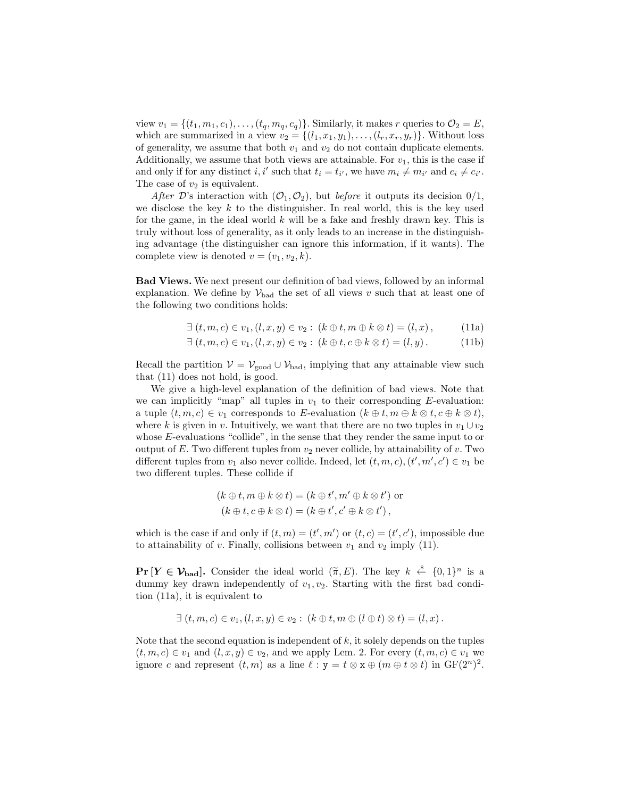view  $v_1 = \{(t_1, m_1, c_1), \ldots, (t_q, m_q, c_q)\}\.$  Similarly, it makes r queries to  $\mathcal{O}_2 = E$ , which are summarized in a view  $v_2 = \{(l_1, x_1, y_1), \ldots, (l_r, x_r, y_r)\}\.$  Without loss of generality, we assume that both  $v_1$  and  $v_2$  do not contain duplicate elements. Additionally, we assume that both views are attainable. For  $v_1$ , this is the case if and only if for any distinct *i*, *i'* such that  $t_i = t_{i'}$ , we have  $m_i \neq m_{i'}$  and  $c_i \neq c_{i'}$ . The case of  $v_2$  is equivalent.

After D's interaction with  $(\mathcal{O}_1, \mathcal{O}_2)$ , but before it outputs its decision  $0/1$ , we disclose the key  $k$  to the distinguisher. In real world, this is the key used for the game, in the ideal world  $k$  will be a fake and freshly drawn key. This is truly without loss of generality, as it only leads to an increase in the distinguishing advantage (the distinguisher can ignore this information, if it wants). The complete view is denoted  $v = (v_1, v_2, k)$ .

Bad Views. We next present our definition of bad views, followed by an informal explanation. We define by  $\mathcal{V}_{bad}$  the set of all views v such that at least one of the following two conditions holds:

$$
\exists (t, m, c) \in v_1, (l, x, y) \in v_2 : (k \oplus t, m \oplus k \otimes t) = (l, x), \quad (11a)
$$

$$
\exists (t, m, c) \in v_1, (l, x, y) \in v_2 : (k \oplus t, c \oplus k \otimes t) = (l, y).
$$
 (11b)

Recall the partition  $V = V_{\text{good}} \cup V_{\text{bad}}$ , implying that any attainable view such that (11) does not hold, is good.

We give a high-level explanation of the definition of bad views. Note that we can implicitly "map" all tuples in  $v_1$  to their corresponding E-evaluation: a tuple  $(t, m, c) \in v_1$  corresponds to E-evaluation  $(k \oplus t, m \oplus k \otimes t, c \oplus k \otimes t)$ , where k is given in v. Intuitively, we want that there are no two tuples in  $v_1 \cup v_2$ whose E-evaluations "collide", in the sense that they render the same input to or output of E. Two different tuples from  $v_2$  never collide, by attainability of v. Two different tuples from  $v_1$  also never collide. Indeed, let  $(t, m, c), (t', m', c') \in v_1$  be two different tuples. These collide if

$$
(k \oplus t, m \oplus k \otimes t) = (k \oplus t', m' \oplus k \otimes t') \text{ or } (k \oplus t, c \oplus k \otimes t) = (k \oplus t', c' \oplus k \otimes t'),
$$

which is the case if and only if  $(t, m) = (t', m')$  or  $(t, c) = (t', c')$ , impossible due to attainability of v. Finally, collisions between  $v_1$  and  $v_2$  imply (11).

 $\Pr[Y \in \mathcal{V}_{bad}]$ . Consider the ideal world  $(\tilde{\pi}, E)$ . The key  $k \stackrel{\text{d}}{\leftarrow} \{0, 1\}^n$  is a dummy low drawn independently of  $v_{\text{d}}$ , at Stepting with the first had equal dummy key drawn independently of  $v_1, v_2$ . Starting with the first bad condition (11a), it is equivalent to

$$
\exists (t, m, c) \in v_1, (l, x, y) \in v_2 : (k \oplus t, m \oplus (l \oplus t) \otimes t) = (l, x).
$$

Note that the second equation is independent of  $k$ , it solely depends on the tuples  $(t, m, c) \in v_1$  and  $(l, x, y) \in v_2$ , and we apply Lem. 2. For every  $(t, m, c) \in v_1$  we ignore c and represent  $(t, m)$  as a line  $\ell : y = t \otimes x \oplus (m \oplus t \otimes t)$  in  $GF(2^n)^2$ .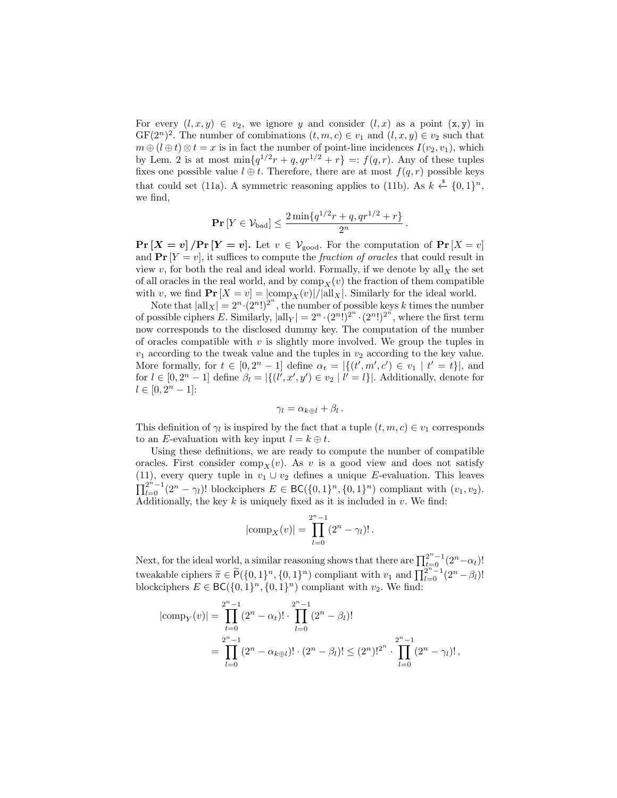For every  $(l, x, y) \in v_2$ , we ignore y and consider  $(l, x)$  as a point  $(x, y)$  in  $GF(2<sup>n</sup>)<sup>2</sup>$ . The number of combinations  $(t, m, c) \in v_1$  and  $(l, x, y) \in v_2$  such that  $m \oplus (l \oplus t) \otimes t = x$  is in fact the number of point-line incidences  $I(v_2, v_1)$ , which by Lem. 2 is at most  $\min\{q^{1/2}r+q,qr^{1/2}+r\} =: f(q,r)$ . Any of these tuples fixes one possible value  $l \oplus t$ . Therefore, there are at most  $f(q, r)$  possible keys that could set (11a). A symmetric reasoning applies to (11b). As  $k \stackrel{\$}{\leftarrow} \{0,1\}^n$ , we find,

$$
\Pr[Y \in \mathcal{V}_{bad}] \le \frac{2 \min\{q^{1/2}r + q, qr^{1/2} + r\}}{2^n}.
$$

 $\Pr[X = v]$  /  $\Pr[Y = v]$ . Let  $v \in V_{\text{good}}$ . For the computation of  $\Pr[X = v]$ and  $\Pr[Y = v]$ , it suffices to compute the *fraction of oracles* that could result in view v, for both the real and ideal world. Formally, if we denote by all  $_X$  the set of all oracles in the real world, and by  $\text{comp}_X(v)$  the fraction of them compatible with v, we find  $\Pr[X = v] = |\text{comp}_X(v)|/|\text{all}_X|$ . Similarly for the ideal world.

Note that  $|all_X| = 2^n \cdot (2^n!)^{2^n}$ , the number of possible keys k times the number of possible ciphers E. Similarly,  $|\text{all}_Y| = 2^n \cdot (2^n!)^{2^n} \cdot (2^n!)^{2^n}$ , where the first term now corresponds to the disclosed dummy key. The computation of the number of oracles compatible with  $v$  is slightly more involved. We group the tuples in  $v_1$  according to the tweak value and the tuples in  $v_2$  according to the key value. More formally, for  $t \in [0, 2^n - 1]$  define  $\alpha_t = |\{(t', m', c') \in v_1 \mid t' = t\}|$ , and for  $l \in [0, 2^n - 1]$  define  $\beta_l = |\{(l', x', y') \in v_2 \mid l' = l\}|$ . Additionally, denote for  $l \in [0, 2^n - 1]$ :

$$
\gamma_l = \alpha_{k \oplus l} + \beta_l.
$$

This definition of  $\gamma_l$  is inspired by the fact that a tuple  $(t, m, c) \in v_1$  corresponds to an E-evaluation with key input  $l = k \oplus t$ .

Using these definitions, we are ready to compute the number of compatible oracles. First consider comp<sub>X</sub>(v). As v is a good view and does not satisfy (11), every query tuple in  $v_1 \cup v_2$  defines a unique E-evaluation. This leaves  $\prod_{l=0}^{2^{n}-1} (2^{n}-\gamma_{l})!$  blockciphers  $E \in BC({0,1}^n, {0,1}^n)$  compliant with  $(v_1, v_2)$ . Additionally, the key  $k$  is uniquely fixed as it is included in  $v$ . We find:

$$
|\text{comp}_X(v)| = \prod_{l=0}^{2^n - 1} (2^n - \gamma_l)! \, .
$$

Next, for the ideal world, a similar reasoning shows that there are  $\prod_{t=0}^{2^n-1} (2^n - \alpha_t)!$ tweakable ciphers  $\widetilde{\pi} \in \widetilde{P}(\{0,1\}^n, \{0,1\}^n)$  compliant with  $v_1$  and  $\prod_{l=0}^{2^n-1} (2^n - \beta_l)!$ <br>blockgiphers  $F \in \mathsf{BC}(\{0,1\}^n, \{0,1\}^n)$  compliant with  $v_1$ . We find: blockciphers  $E \in BC({0,1}<sup>n</sup>, {0,1}<sup>n</sup>)$  compliant with  $v_2$ . We find:

$$
|\text{comp}_Y(v)| = \prod_{t=0}^{2^n - 1} (2^n - \alpha_t)! \cdot \prod_{l=0}^{2^n - 1} (2^n - \beta_l)!
$$
  
= 
$$
\prod_{l=0}^{2^n - 1} (2^n - \alpha_{k \oplus l})! \cdot (2^n - \beta_l)! \leq (2^n)!^{2^n} \cdot \prod_{l=0}^{2^n - 1} (2^n - \gamma_l)!,
$$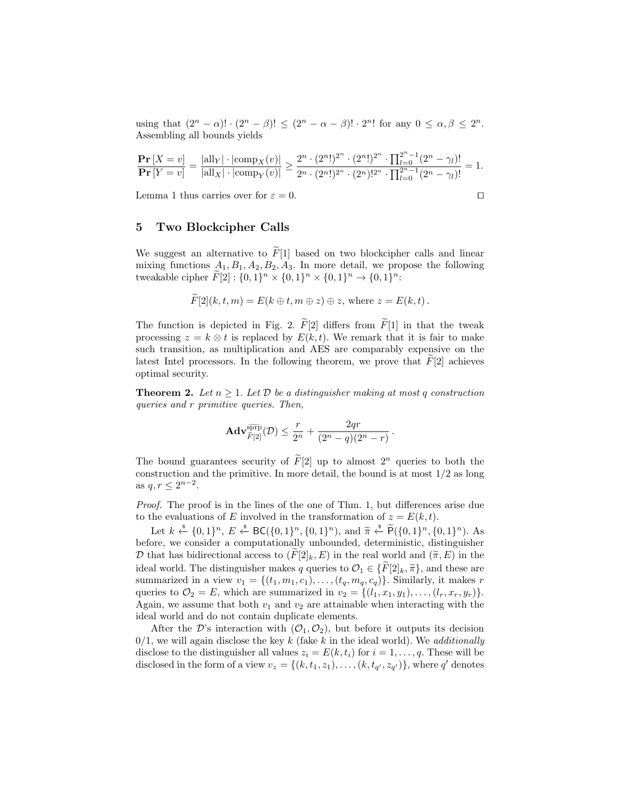using that  $(2^n - \alpha)! \cdot (2^n - \beta)! \leq (2^n - \alpha - \beta)! \cdot 2^n!$  for any  $0 \leq \alpha, \beta \leq 2^n$ . Assembling all bounds yields

$$
\frac{\mathbf{Pr}\left[X=v\right]}{\mathbf{Pr}\left[Y=v\right]} = \frac{|\text{all}_Y| \cdot |\text{comp}_X(v)|}{|\text{all}_X| \cdot |\text{comp}_Y(v)|} \ge \frac{2^n \cdot (2^n!)^{2^n} \cdot (2^n!)^{2^n} \cdot \prod_{l=0}^{2^n - 1} (2^n - \gamma_l)!}{2^n \cdot (2^n!)^{2^n} \cdot (2^n)!^{2^n} \cdot \prod_{l=0}^{2^n - 1} (2^n - \gamma_l)!} = 1.
$$

Lemma 1 thus carries over for  $\varepsilon = 0$ .

$$
f_{\rm{max}}
$$

# 5 Two Blockcipher Calls

We suggest an alternative to  $\tilde{F}[1]$  based on two blockcipher calls and linear mixing functions  $A_1, B_1, A_2, B_2, A_3$ . In more detail, we propose the following tweakable cipher  $\tilde{F}[2] : \{0,1\}^n \times \{0,1\}^n \times \{0,1\}^n \to \{0,1\}^n$ :

$$
F[2](k, t, m) = E(k \oplus t, m \oplus z) \oplus z, \text{ where } z = E(k, t).
$$

The function is depicted in Fig. 2.  $\widetilde{F}[2]$  differs from  $\widetilde{F}[1]$  in that the tweak processing  $z = k \otimes t$  is replaced by  $E(k, t)$ . We remark that it is fair to make such transition, as multiplication and AES are comparably expensive on the latest Intel processors. In the following theorem, we prove that  $F[2]$  achieves optimal security.

**Theorem 2.** Let  $n \geq 1$ . Let  $D$  be a distinguisher making at most q construction queries and r primitive queries. Then,

$$
\mathbf{Adv}_{\widetilde{F}[2]}^{\widetilde{\text{ppp}}}(\mathcal{D}) \le \frac{r}{2^n} + \frac{2qr}{(2^n-q)(2^n-r)}.
$$

The bound guarantees security of  $\widetilde{F}[2]$  up to almost  $2^n$  queries to both the construction and the primitive. In more detail, the bound is at most  $1/2$  as long as  $q, r \leq 2^{n-2}$ .

Proof. The proof is in the lines of the one of Thm. 1, but differences arise due to the evaluations of E involved in the transformation of  $z = E(k, t)$ .

Let  $k \stackrel{\ast}{\leftarrow} \{0,1\}^n$ ,  $E \stackrel{\ast}{\leftarrow} BC(\{0,1\}^n, \{0,1\}^n)$ , and  $\widetilde{\pi} \stackrel{\ast}{\leftarrow} \widetilde{P}(\{0,1\}^n, \{0,1\}^n)$ . As before, we consider a computationally unbounded, deterministic, distinguisher D that has bidirectional access to  $(F[2]_k, E)$  in the real world and  $(\widetilde{\pi}, E)$  in the ideal world. The distinguisher makes q queries to  $\mathcal{O}_1 \in \{F[2]_k, \tilde{\pi}\}\)$ , and these are summarized in a view  $v_1 = \{(t_1, m_1, c_1), \ldots, (t_q, m_q, c_q)\}\.$  Similarly, it makes r queries to  $\mathcal{O}_2 = E$ , which are summarized in  $v_2 = \{(l_1, x_1, y_1), \ldots, (l_r, x_r, y_r)\}.$ Again, we assume that both  $v_1$  and  $v_2$  are attainable when interacting with the ideal world and do not contain duplicate elements.

After the D's interaction with  $(\mathcal{O}_1, \mathcal{O}_2)$ , but before it outputs its decision  $0/1$ , we will again disclose the key k (fake k in the ideal world). We *additionally* disclose to the distinguisher all values  $z_i = E(k, t_i)$  for  $i = 1, \ldots, q$ . These will be disclosed in the form of a view  $v_z = \{(k, t_1, z_1), \ldots, (k, t_{q'}, z_{q'})\}$ , where q' denotes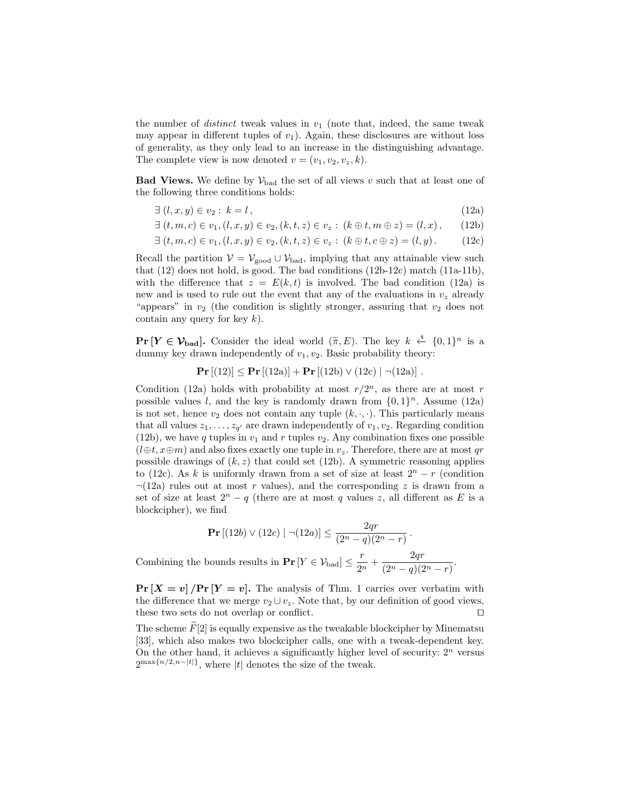the number of *distinct* tweak values in  $v_1$  (note that, indeed, the same tweak may appear in different tuples of  $v_1$ ). Again, these disclosures are without loss of generality, as they only lead to an increase in the distinguishing advantage. The complete view is now denoted  $v = (v_1, v_2, v_z, k)$ .

**Bad Views.** We define by  $V_{bad}$  the set of all views v such that at least one of the following three conditions holds:

- $\exists (l, x, y) \in v_2 : k = l,$  (12a)
- $\exists (t, m, c) \in v_1, (l, x, y) \in v_2, (k, t, z) \in v_z : (k \oplus t, m \oplus z) = (l, x),$  (12b)

$$
\exists (t, m, c) \in v_1, (l, x, y) \in v_2, (k, t, z) \in v_z : (k \oplus t, c \oplus z) = (l, y).
$$
 (12c)

Recall the partition  $V = V_{\text{good}} \cup V_{\text{bad}}$ , implying that any attainable view such that (12) does not hold, is good. The bad conditions (12b-12c) match (11a-11b), with the difference that  $z = E(k, t)$  is involved. The bad condition (12a) is new and is used to rule out the event that any of the evaluations in  $v<sub>z</sub>$  already "appears" in  $v_2$  (the condition is slightly stronger, assuring that  $v_2$  does not contain any query for key  $k$ ).

 $\Pr[Y \in \mathcal{V}_{bad}]$ . Consider the ideal world  $(\tilde{\pi}, E)$ . The key  $k \stackrel{\text{g}}{\leftarrow} \{0, 1\}^n$  is a dummy key drawn independently of  $v_{\text{h}}$ , the Basic probability theory. dummy key drawn independently of  $v_1, v_2$ . Basic probability theory:

$$
\Pr [(12)] \le \Pr [(12a)] + \Pr [(12b) \vee (12c) | \neg (12a)].
$$

Condition (12a) holds with probability at most  $r/2^n$ , as there are at most r possible values l, and the key is randomly drawn from  $\{0, 1\}^n$ . Assume (12a) is not set, hence  $v_2$  does not contain any tuple  $(k, \cdot, \cdot)$ . This particularly means that all values  $z_1, \ldots, z_{q'}$  are drawn independently of  $v_1, v_2$ . Regarding condition (12b), we have q tuples in  $v_1$  and r tuples  $v_2$ . Any combination fixes one possible  $(l \oplus t, x \oplus m)$  and also fixes exactly one tuple in  $v_z$ . Therefore, there are at most qr possible drawings of  $(k, z)$  that could set (12b). A symmetric reasoning applies to (12c). As k is uniformly drawn from a set of size at least  $2^{n} - r$  (condition  $\neg(12a)$  rules out at most r values), and the corresponding z is drawn from a set of size at least  $2^{n} - q$  (there are at most q values z, all different as E is a blockcipher), we find

$$
\Pr\left[(12b) \vee (12c) \mid \neg(12a)\right] \le \frac{2qr}{(2^n - q)(2^n - r)}.
$$
 Combining the bounds results in 
$$
\Pr\left[Y \in \mathcal{V}_{bad}\right] \le \frac{r}{2^n} + \frac{2qr}{(2^n - q)(2^n - r)}
$$

.

 $\Pr[X = v]$  / $\Pr[Y = v]$ . The analysis of Thm. 1 carries over verbatim with the difference that we merge  $v_2 \cup v_z$ . Note that, by our definition of good views, these two sets do not overlap or conflict.  $\Box$ 

The scheme  $\tilde{F}[2]$  is equally expensive as the tweakable blockcipher by Minematsu [33], which also makes two blockcipher calls, one with a tweak-dependent key. On the other hand, it achieves a significantly higher level of security:  $2<sup>n</sup>$  versus  $2^{\max\{n/2,n-|t|\}}$ , where |t| denotes the size of the tweak.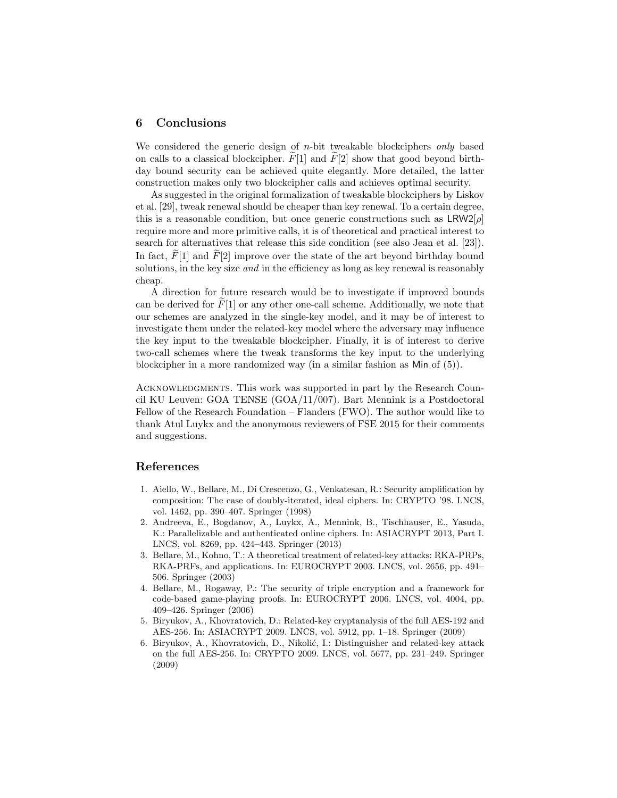## 6 Conclusions

We considered the generic design of  $n$ -bit tweakable blockciphers only based on calls to a classical blockcipher.  $F[1]$  and  $F[2]$  show that good beyond birthday bound security can be achieved quite elegantly. More detailed, the latter construction makes only two blockcipher calls and achieves optimal security.

As suggested in the original formalization of tweakable blockciphers by Liskov et al. [29], tweak renewal should be cheaper than key renewal. To a certain degree, this is a reasonable condition, but once generic constructions such as  $LRW2[\rho]$ require more and more primitive calls, it is of theoretical and practical interest to search for alternatives that release this side condition (see also Jean et al. [23]). In fact,  $F[1]$  and  $F[2]$  improve over the state of the art beyond birthday bound solutions, in the key size *and* in the efficiency as long as key renewal is reasonably cheap.

A direction for future research would be to investigate if improved bounds can be derived for  $F[1]$  or any other one-call scheme. Additionally, we note that our schemes are analyzed in the single-key model, and it may be of interest to investigate them under the related-key model where the adversary may influence the key input to the tweakable blockcipher. Finally, it is of interest to derive two-call schemes where the tweak transforms the key input to the underlying blockcipher in a more randomized way (in a similar fashion as Min of (5)).

ACKNOWLEDGMENTS. This work was supported in part by the Research Council KU Leuven: GOA TENSE (GOA/11/007). Bart Mennink is a Postdoctoral Fellow of the Research Foundation – Flanders (FWO). The author would like to thank Atul Luykx and the anonymous reviewers of FSE 2015 for their comments and suggestions.

#### References

- 1. Aiello, W., Bellare, M., Di Crescenzo, G., Venkatesan, R.: Security amplification by composition: The case of doubly-iterated, ideal ciphers. In: CRYPTO '98. LNCS, vol. 1462, pp. 390–407. Springer (1998)
- 2. Andreeva, E., Bogdanov, A., Luykx, A., Mennink, B., Tischhauser, E., Yasuda, K.: Parallelizable and authenticated online ciphers. In: ASIACRYPT 2013, Part I. LNCS, vol. 8269, pp. 424–443. Springer (2013)
- 3. Bellare, M., Kohno, T.: A theoretical treatment of related-key attacks: RKA-PRPs, RKA-PRFs, and applications. In: EUROCRYPT 2003. LNCS, vol. 2656, pp. 491– 506. Springer (2003)
- 4. Bellare, M., Rogaway, P.: The security of triple encryption and a framework for code-based game-playing proofs. In: EUROCRYPT 2006. LNCS, vol. 4004, pp. 409–426. Springer (2006)
- 5. Biryukov, A., Khovratovich, D.: Related-key cryptanalysis of the full AES-192 and AES-256. In: ASIACRYPT 2009. LNCS, vol. 5912, pp. 1–18. Springer (2009)
- 6. Biryukov, A., Khovratovich, D., Nikolić, I.: Distinguisher and related-key attack on the full AES-256. In: CRYPTO 2009. LNCS, vol. 5677, pp. 231–249. Springer (2009)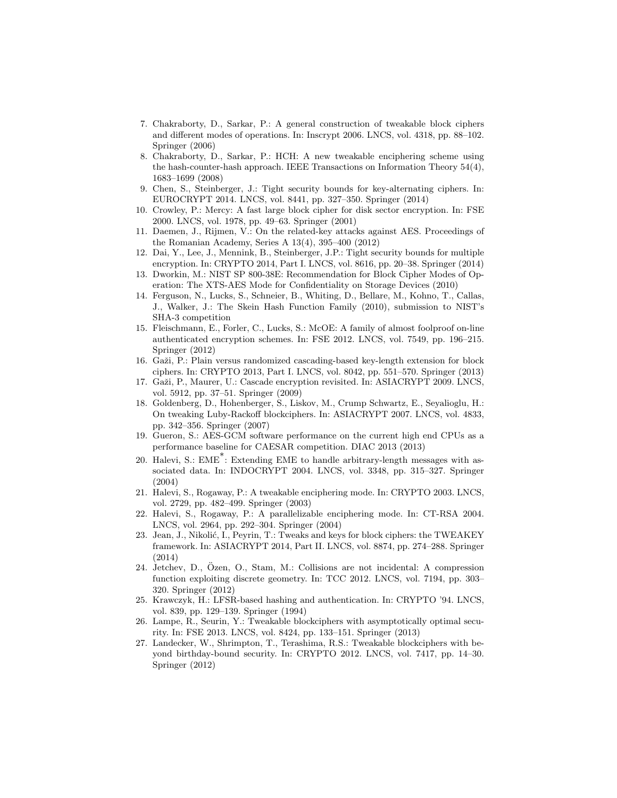- 7. Chakraborty, D., Sarkar, P.: A general construction of tweakable block ciphers and different modes of operations. In: Inscrypt 2006. LNCS, vol. 4318, pp. 88–102. Springer (2006)
- 8. Chakraborty, D., Sarkar, P.: HCH: A new tweakable enciphering scheme using the hash-counter-hash approach. IEEE Transactions on Information Theory 54(4), 1683–1699 (2008)
- 9. Chen, S., Steinberger, J.: Tight security bounds for key-alternating ciphers. In: EUROCRYPT 2014. LNCS, vol. 8441, pp. 327–350. Springer (2014)
- 10. Crowley, P.: Mercy: A fast large block cipher for disk sector encryption. In: FSE 2000. LNCS, vol. 1978, pp. 49–63. Springer (2001)
- 11. Daemen, J., Rijmen, V.: On the related-key attacks against AES. Proceedings of the Romanian Academy, Series A 13(4), 395–400 (2012)
- 12. Dai, Y., Lee, J., Mennink, B., Steinberger, J.P.: Tight security bounds for multiple encryption. In: CRYPTO 2014, Part I. LNCS, vol. 8616, pp. 20–38. Springer (2014)
- 13. Dworkin, M.: NIST SP 800-38E: Recommendation for Block Cipher Modes of Operation: The XTS-AES Mode for Confidentiality on Storage Devices (2010)
- 14. Ferguson, N., Lucks, S., Schneier, B., Whiting, D., Bellare, M., Kohno, T., Callas, J., Walker, J.: The Skein Hash Function Family (2010), submission to NIST's SHA-3 competition
- 15. Fleischmann, E., Forler, C., Lucks, S.: McOE: A family of almost foolproof on-line authenticated encryption schemes. In: FSE 2012. LNCS, vol. 7549, pp. 196–215. Springer (2012)
- 16. Gaži, P.: Plain versus randomized cascading-based key-length extension for block ciphers. In: CRYPTO 2013, Part I. LNCS, vol. 8042, pp. 551–570. Springer (2013)
- 17. Gaži, P., Maurer, U.: Cascade encryption revisited. In: ASIACRYPT 2009. LNCS, vol. 5912, pp. 37–51. Springer (2009)
- 18. Goldenberg, D., Hohenberger, S., Liskov, M., Crump Schwartz, E., Seyalioglu, H.: On tweaking Luby-Rackoff blockciphers. In: ASIACRYPT 2007. LNCS, vol. 4833, pp. 342–356. Springer (2007)
- 19. Gueron, S.: AES-GCM software performance on the current high end CPUs as a performance baseline for CAESAR competition. DIAC 2013 (2013)
- 20. Halevi, S.: EME\* : Extending EME to handle arbitrary-length messages with associated data. In: INDOCRYPT 2004. LNCS, vol. 3348, pp. 315–327. Springer (2004)
- 21. Halevi, S., Rogaway, P.: A tweakable enciphering mode. In: CRYPTO 2003. LNCS, vol. 2729, pp. 482–499. Springer (2003)
- 22. Halevi, S., Rogaway, P.: A parallelizable enciphering mode. In: CT-RSA 2004. LNCS, vol. 2964, pp. 292–304. Springer (2004)
- 23. Jean, J., Nikolić, I., Peyrin, T.: Tweaks and keys for block ciphers: the TWEAKEY framework. In: ASIACRYPT 2014, Part II. LNCS, vol. 8874, pp. 274–288. Springer (2014)
- 24. Jetchev, D., Ozen, O., Stam, M.: Collisions are not incidental: A compression ¨ function exploiting discrete geometry. In: TCC 2012. LNCS, vol. 7194, pp. 303– 320. Springer (2012)
- 25. Krawczyk, H.: LFSR-based hashing and authentication. In: CRYPTO '94. LNCS, vol. 839, pp. 129–139. Springer (1994)
- 26. Lampe, R., Seurin, Y.: Tweakable blockciphers with asymptotically optimal security. In: FSE 2013. LNCS, vol. 8424, pp. 133–151. Springer (2013)
- 27. Landecker, W., Shrimpton, T., Terashima, R.S.: Tweakable blockciphers with beyond birthday-bound security. In: CRYPTO 2012. LNCS, vol. 7417, pp. 14–30. Springer (2012)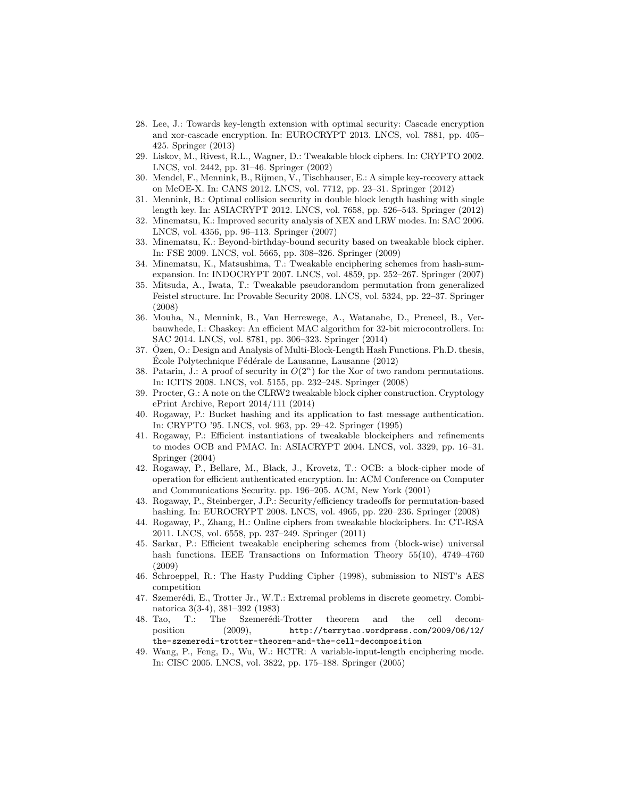- 28. Lee, J.: Towards key-length extension with optimal security: Cascade encryption and xor-cascade encryption. In: EUROCRYPT 2013. LNCS, vol. 7881, pp. 405– 425. Springer (2013)
- 29. Liskov, M., Rivest, R.L., Wagner, D.: Tweakable block ciphers. In: CRYPTO 2002. LNCS, vol. 2442, pp. 31–46. Springer (2002)
- 30. Mendel, F., Mennink, B., Rijmen, V., Tischhauser, E.: A simple key-recovery attack on McOE-X. In: CANS 2012. LNCS, vol. 7712, pp. 23–31. Springer (2012)
- 31. Mennink, B.: Optimal collision security in double block length hashing with single length key. In: ASIACRYPT 2012. LNCS, vol. 7658, pp. 526–543. Springer (2012)
- 32. Minematsu, K.: Improved security analysis of XEX and LRW modes. In: SAC 2006. LNCS, vol. 4356, pp. 96–113. Springer (2007)
- 33. Minematsu, K.: Beyond-birthday-bound security based on tweakable block cipher. In: FSE 2009. LNCS, vol. 5665, pp. 308–326. Springer (2009)
- 34. Minematsu, K., Matsushima, T.: Tweakable enciphering schemes from hash-sumexpansion. In: INDOCRYPT 2007. LNCS, vol. 4859, pp. 252–267. Springer (2007)
- 35. Mitsuda, A., Iwata, T.: Tweakable pseudorandom permutation from generalized Feistel structure. In: Provable Security 2008. LNCS, vol. 5324, pp. 22–37. Springer (2008)
- 36. Mouha, N., Mennink, B., Van Herrewege, A., Watanabe, D., Preneel, B., Verbauwhede, I.: Chaskey: An efficient MAC algorithm for 32-bit microcontrollers. In: SAC 2014. LNCS, vol. 8781, pp. 306–323. Springer (2014)
- 37. Ozen, O.: Design and Analysis of Multi-Block-Length Hash Functions. Ph.D. thesis, ¨ Ecole Polytechnique Fédérale de Lausanne, Lausanne (2012)
- 38. Patarin, J.: A proof of security in  $O(2^n)$  for the Xor of two random permutations. In: ICITS 2008. LNCS, vol. 5155, pp. 232–248. Springer (2008)
- 39. Procter, G.: A note on the CLRW2 tweakable block cipher construction. Cryptology ePrint Archive, Report 2014/111 (2014)
- 40. Rogaway, P.: Bucket hashing and its application to fast message authentication. In: CRYPTO '95. LNCS, vol. 963, pp. 29–42. Springer (1995)
- 41. Rogaway, P.: Efficient instantiations of tweakable blockciphers and refinements to modes OCB and PMAC. In: ASIACRYPT 2004. LNCS, vol. 3329, pp. 16–31. Springer (2004)
- 42. Rogaway, P., Bellare, M., Black, J., Krovetz, T.: OCB: a block-cipher mode of operation for efficient authenticated encryption. In: ACM Conference on Computer and Communications Security. pp. 196–205. ACM, New York (2001)
- 43. Rogaway, P., Steinberger, J.P.: Security/efficiency tradeoffs for permutation-based hashing. In: EUROCRYPT 2008. LNCS, vol. 4965, pp. 220–236. Springer (2008)
- 44. Rogaway, P., Zhang, H.: Online ciphers from tweakable blockciphers. In: CT-RSA 2011. LNCS, vol. 6558, pp. 237–249. Springer (2011)
- 45. Sarkar, P.: Efficient tweakable enciphering schemes from (block-wise) universal hash functions. IEEE Transactions on Information Theory 55(10), 4749–4760 (2009)
- 46. Schroeppel, R.: The Hasty Pudding Cipher (1998), submission to NIST's AES competition
- 47. Szemerédi, E., Trotter Jr., W.T.: Extremal problems in discrete geometry. Combinatorica 3(3-4), 381–392 (1983)
- 48. Tao, T.: The Szemerédi-Trotter theorem and the cell decomposition (2009), http://terrytao.wordpress.com/2009/06/12/ the-szemeredi-trotter-theorem-and-the-cell-decomposition
- 49. Wang, P., Feng, D., Wu, W.: HCTR: A variable-input-length enciphering mode. In: CISC 2005. LNCS, vol. 3822, pp. 175–188. Springer (2005)